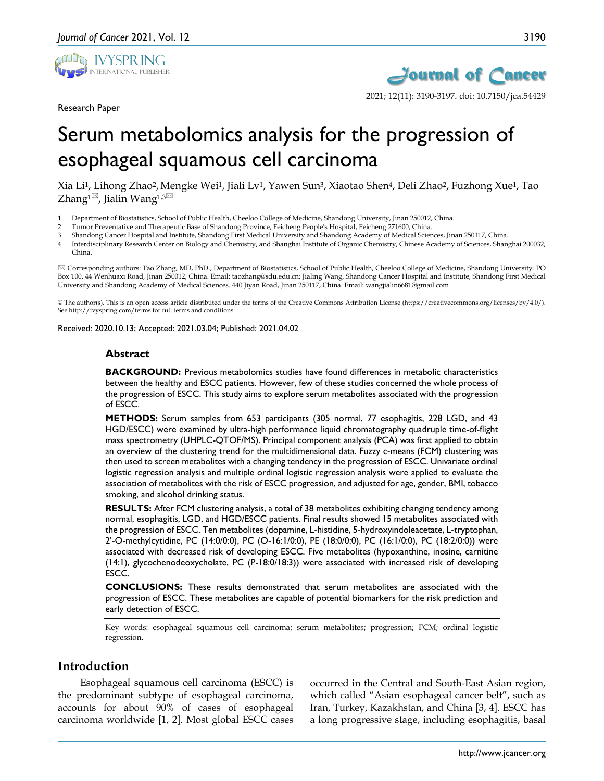

Research Paper



2021; 12(11): 3190-3197. doi: 10.7150/jca.54429

# Serum metabolomics analysis for the progression of esophageal squamous cell carcinoma

Xia Li1, Lihong Zhao2, Mengke Wei1, Jiali Lv1, Yawen Sun3, Xiaotao Shen4, Deli Zhao2, Fuzhong Xue1, Tao Zhang<sup>1 $\boxtimes$ </sup>, Jialin Wang<sup>1,3 $\boxtimes$ </sup>

- 1. Department of Biostatistics, School of Public Health, Cheeloo College of Medicine, Shandong University, Jinan 250012, China.
- 2. Tumor Preventative and Therapeutic Base of Shandong Province, Feicheng People's Hospital, Feicheng 271600, China.
- 3. Shandong Cancer Hospital and Institute, Shandong First Medical University and Shandong Academy of Medical Sciences, Jinan 250117, China.
- 4. Interdisciplinary Research Center on Biology and Chemistry, and Shanghai Institute of Organic Chemistry, Chinese Academy of Sciences, Shanghai 200032, China.

 Corresponding authors: Tao Zhang, MD, PhD., Department of Biostatistics, School of Public Health, Cheeloo College of Medicine, Shandong University. PO Box 100, 44 Wenhuaxi Road, Jinan 250012, China. Email: taozhang@sdu.edu.cn; Jialing Wang, Shandong Cancer Hospital and Institute, Shandong First Medical University and Shandong Academy of Medical Sciences. 440 Jiyan Road, Jinan 250117, China. Email: wangjialin6681@gmail.com

© The author(s). This is an open access article distributed under the terms of the Creative Commons Attribution License (https://creativecommons.org/licenses/by/4.0/). See http://ivyspring.com/terms for full terms and conditions.

Received: 2020.10.13; Accepted: 2021.03.04; Published: 2021.04.02

#### **Abstract**

**BACKGROUND:** Previous metabolomics studies have found differences in metabolic characteristics between the healthy and ESCC patients. However, few of these studies concerned the whole process of the progression of ESCC. This study aims to explore serum metabolites associated with the progression of ESCC.

**METHODS:** Serum samples from 653 participants (305 normal, 77 esophagitis, 228 LGD, and 43 HGD/ESCC) were examined by ultra-high performance liquid chromatography quadruple time-of-flight mass spectrometry (UHPLC-QTOF/MS). Principal component analysis (PCA) was first applied to obtain an overview of the clustering trend for the multidimensional data. Fuzzy c-means (FCM) clustering was then used to screen metabolites with a changing tendency in the progression of ESCC. Univariate ordinal logistic regression analysis and multiple ordinal logistic regression analysis were applied to evaluate the association of metabolites with the risk of ESCC progression, and adjusted for age, gender, BMI, tobacco smoking, and alcohol drinking status.

**RESULTS:** After FCM clustering analysis, a total of 38 metabolites exhibiting changing tendency among normal, esophagitis, LGD, and HGD/ESCC patients. Final results showed 15 metabolites associated with the progression of ESCC. Ten metabolites (dopamine, L-histidine, 5-hydroxyindoleacetate, L-tryptophan, 2'-O-methylcytidine, PC (14:0/0:0), PC (O-16:1/0:0), PE (18:0/0:0), PC (16:1/0:0), PC (18:2/0:0)) were associated with decreased risk of developing ESCC. Five metabolites (hypoxanthine, inosine, carnitine (14:1), glycochenodeoxycholate, PC (P-18:0/18:3)) were associated with increased risk of developing ESCC.

**CONCLUSIONS:** These results demonstrated that serum metabolites are associated with the progression of ESCC. These metabolites are capable of potential biomarkers for the risk prediction and early detection of ESCC.

Key words: esophageal squamous cell carcinoma; serum metabolites; progression; FCM; ordinal logistic regression.

## **Introduction**

Esophageal squamous cell carcinoma (ESCC) is the predominant subtype of esophageal carcinoma, accounts for about 90% of cases of esophageal carcinoma worldwide [1, 2]. Most global ESCC cases

occurred in the Central and South-East Asian region, which called "Asian esophageal cancer belt", such as Iran, Turkey, Kazakhstan, and China [3, 4]. ESCC has a long progressive stage, including esophagitis, basal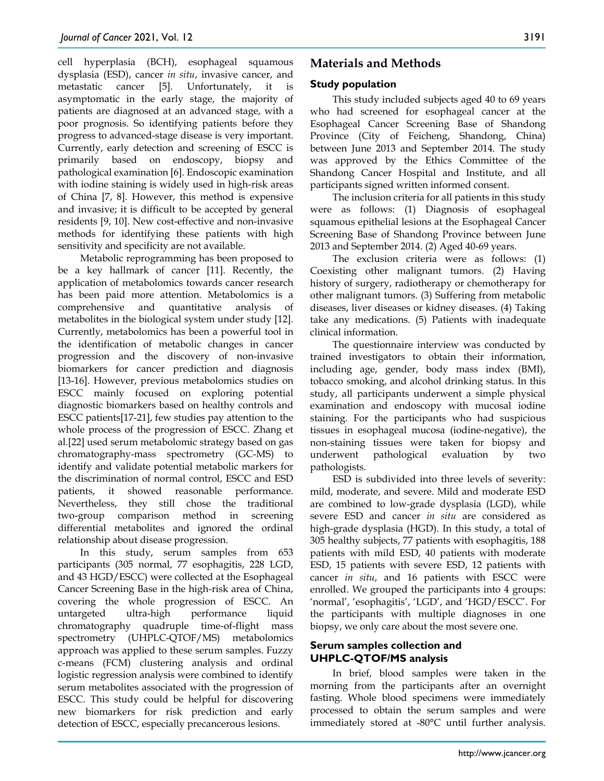cell hyperplasia (BCH), esophageal squamous dysplasia (ESD), cancer *in situ*, invasive cancer, and metastatic cancer [5]. Unfortunately, it is asymptomatic in the early stage, the majority of patients are diagnosed at an advanced stage, with a poor prognosis. So identifying patients before they progress to advanced-stage disease is very important. Currently, early detection and screening of ESCC is primarily based on endoscopy, biopsy and pathological examination [6]. Endoscopic examination with iodine staining is widely used in high-risk areas of China [7, 8]. However, this method is expensive and invasive; it is difficult to be accepted by general residents [9, 10]. New cost-effective and non-invasive methods for identifying these patients with high sensitivity and specificity are not available.

Metabolic reprogramming has been proposed to be a key hallmark of cancer [11]. Recently, the application of metabolomics towards cancer research has been paid more attention. Metabolomics is a comprehensive and quantitative analysis of metabolites in the biological system under study [12]. Currently, metabolomics has been a powerful tool in the identification of metabolic changes in cancer progression and the discovery of non-invasive biomarkers for cancer prediction and diagnosis [13-16]. However, previous metabolomics studies on ESCC mainly focused on exploring potential diagnostic biomarkers based on healthy controls and ESCC patients[17-21], few studies pay attention to the whole process of the progression of ESCC. Zhang et al.[22] used serum metabolomic strategy based on gas chromatography-mass spectrometry (GC-MS) to identify and validate potential metabolic markers for the discrimination of normal control, ESCC and ESD patients, it showed reasonable performance. Nevertheless, they still chose the traditional two-group comparison method in screening differential metabolites and ignored the ordinal relationship about disease progression.

In this study, serum samples from 653 participants (305 normal, 77 esophagitis, 228 LGD, and 43 HGD/ESCC) were collected at the Esophageal Cancer Screening Base in the high-risk area of China, covering the whole progression of ESCC. An untargeted ultra-high performance liquid chromatography quadruple time-of-flight mass spectrometry (UHPLC-QTOF/MS) metabolomics approach was applied to these serum samples. Fuzzy c-means (FCM) clustering analysis and ordinal logistic regression analysis were combined to identify serum metabolites associated with the progression of ESCC. This study could be helpful for discovering new biomarkers for risk prediction and early detection of ESCC, especially precancerous lesions.

# **Materials and Methods**

## **Study population**

This study included subjects aged 40 to 69 years who had screened for esophageal cancer at the Esophageal Cancer Screening Base of Shandong Province (City of Feicheng, Shandong, China) between June 2013 and September 2014. The study was approved by the Ethics Committee of the Shandong Cancer Hospital and Institute, and all participants signed written informed consent.

The inclusion criteria for all patients in this study were as follows: (1) Diagnosis of esophageal squamous epithelial lesions at the Esophageal Cancer Screening Base of Shandong Province between June 2013 and September 2014. (2) Aged 40-69 years.

The exclusion criteria were as follows: (1) Coexisting other malignant tumors. (2) Having history of surgery, radiotherapy or chemotherapy for other malignant tumors. (3) Suffering from metabolic diseases, liver diseases or kidney diseases. (4) Taking take any medications. (5) Patients with inadequate clinical information.

The questionnaire interview was conducted by trained investigators to obtain their information, including age, gender, body mass index (BMI), tobacco smoking, and alcohol drinking status. In this study, all participants underwent a simple physical examination and endoscopy with mucosal iodine staining. For the participants who had suspicious tissues in esophageal mucosa (iodine-negative), the non-staining tissues were taken for biopsy and underwent pathological evaluation by two pathologists.

ESD is subdivided into three levels of severity: mild, moderate, and severe. Mild and moderate ESD are combined to low-grade dysplasia (LGD), while severe ESD and cancer *in situ* are considered as high-grade dysplasia (HGD). In this study, a total of 305 healthy subjects, 77 patients with esophagitis, 188 patients with mild ESD, 40 patients with moderate ESD, 15 patients with severe ESD, 12 patients with cancer *in situ*, and 16 patients with ESCC were enrolled. We grouped the participants into 4 groups: 'normal', 'esophagitis', 'LGD', and 'HGD/ESCC'. For the participants with multiple diagnoses in one biopsy, we only care about the most severe one.

## **Serum samples collection and UHPLC-QTOF/MS analysis**

In brief, blood samples were taken in the morning from the participants after an overnight fasting. Whole blood specimens were immediately processed to obtain the serum samples and were immediately stored at -80°C until further analysis.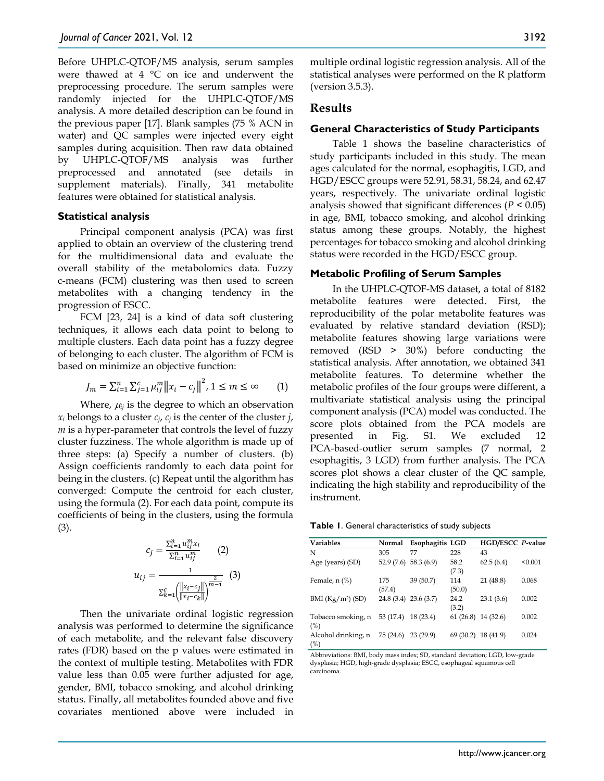Before UHPLC-QTOF/MS analysis, serum samples were thawed at 4 °C on ice and underwent the preprocessing procedure. The serum samples were randomly injected for the UHPLC-QTOF/MS analysis. A more detailed description can be found in the previous paper [17]. Blank samples (75 % ACN in water) and QC samples were injected every eight samples during acquisition. Then raw data obtained by UHPLC-QTOF/MS analysis was further preprocessed and annotated (see details in supplement materials). Finally, 341 metabolite features were obtained for statistical analysis.

#### **Statistical analysis**

Principal component analysis (PCA) was first applied to obtain an overview of the clustering trend for the multidimensional data and evaluate the overall stability of the metabolomics data. Fuzzy c-means (FCM) clustering was then used to screen metabolites with a changing tendency in the progression of ESCC.

FCM [23, 24] is a kind of data soft clustering techniques, it allows each data point to belong to multiple clusters. Each data point has a fuzzy degree of belonging to each cluster. The algorithm of FCM is based on minimize an objective function:

$$
J_m = \sum_{i=1}^n \sum_{j=1}^c \mu_{ij}^m ||x_i - c_j||^2, \ 1 \le m \le \infty \qquad (1)
$$

Where,  $\mu_{ij}$  is the degree to which an observation  $x_i$  belongs to a cluster  $c_i$ ,  $c_j$  is the center of the cluster *j*, *m* is a hyper-parameter that controls the level of fuzzy cluster fuzziness. The whole algorithm is made up of three steps: (a) Specify a number of clusters. (b) Assign coefficients randomly to each data point for being in the clusters. (c) Repeat until the algorithm has converged: Compute the centroid for each cluster, using the formula (2). For each data point, compute its coefficients of being in the clusters, using the formula (3).

$$
c_j = \frac{\sum_{i=1}^{n} u_{ij}^m x_i}{\sum_{i=1}^{n} u_{ij}^m}
$$
 (2)  

$$
u_{ij} = \frac{1}{\sum_{k=1}^{c} (\frac{||x_i - c_j||}{||x_i - c_k||})^m}
$$
 (3)

Then the univariate ordinal logistic regression analysis was performed to determine the significance of each metabolite, and the relevant false discovery rates (FDR) based on the p values were estimated in the context of multiple testing. Metabolites with FDR value less than 0.05 were further adjusted for age, gender, BMI, tobacco smoking, and alcohol drinking status. Finally, all metabolites founded above and five covariates mentioned above were included in

multiple ordinal logistic regression analysis. All of the statistical analyses were performed on the R platform (version 3.5.3).

#### **Results**

#### **General Characteristics of Study Participants**

Table 1 shows the baseline characteristics of study participants included in this study. The mean ages calculated for the normal, esophagitis, LGD, and HGD/ESCC groups were 52.91, 58.31, 58.24, and 62.47 years, respectively. The univariate ordinal logistic analysis showed that significant differences (*P* < 0.05) in age, BMI, tobacco smoking, and alcohol drinking status among these groups. Notably, the highest percentages for tobacco smoking and alcohol drinking status were recorded in the HGD/ESCC group.

#### **Metabolic Profiling of Serum Samples**

In the UHPLC-QTOF-MS dataset, a total of 8182 metabolite features were detected. First, the reproducibility of the polar metabolite features was evaluated by relative standard deviation (RSD); metabolite features showing large variations were removed (RSD > 30%) before conducting the statistical analysis. After annotation, we obtained 341 metabolite features. To determine whether the metabolic profiles of the four groups were different, a multivariate statistical analysis using the principal component analysis (PCA) model was conducted. The score plots obtained from the PCA models are presented in Fig. S1. We excluded 12 PCA-based-outlier serum samples (7 normal, 2 esophagitis, 3 LGD) from further analysis. The PCA scores plot shows a clear cluster of the QC sample, indicating the high stability and reproducibility of the instrument.

**Table 1**. General characteristics of study subjects

| <b>Variables</b>              | Normal                 | Esophagitis LGD |               | HGD/ESCC P-value |         |
|-------------------------------|------------------------|-----------------|---------------|------------------|---------|
| N                             | 305                    | 77              | 228           | 43               |         |
| Age (years) (SD)              | $52.9(7.6)$ 58.3 (6.9) |                 | 58.2<br>(7.3) | 62.5(6.4)        | < 0.001 |
| Female, $n$ (%)               | 175<br>(57.4)          | 39 (50.7)       | 114<br>(50.0) | 21 (48.8)        | 0.068   |
| BMI (Kg/m <sup>2</sup> ) (SD) | 24.8 (3.4) 23.6 (3.7)  |                 | 24.2<br>(3.2) | 23.1(3.6)        | 0.002   |
| Tobacco smoking, n<br>(%)     | 53 (17.4)              | 18(23.4)        | 61(26.8)      | 14 (32.6)        | 0.002   |
| Alcohol drinking, n<br>(%)    | 75 (24.6)              | 23(29.9)        | 69 (30.2)     | 18 (41.9)        | 0.024   |

Abbreviations: BMI, body mass index; SD, standard deviation; LGD, low-grade dysplasia; HGD, high-grade dysplasia; ESCC, esophageal squamous cell carcinoma.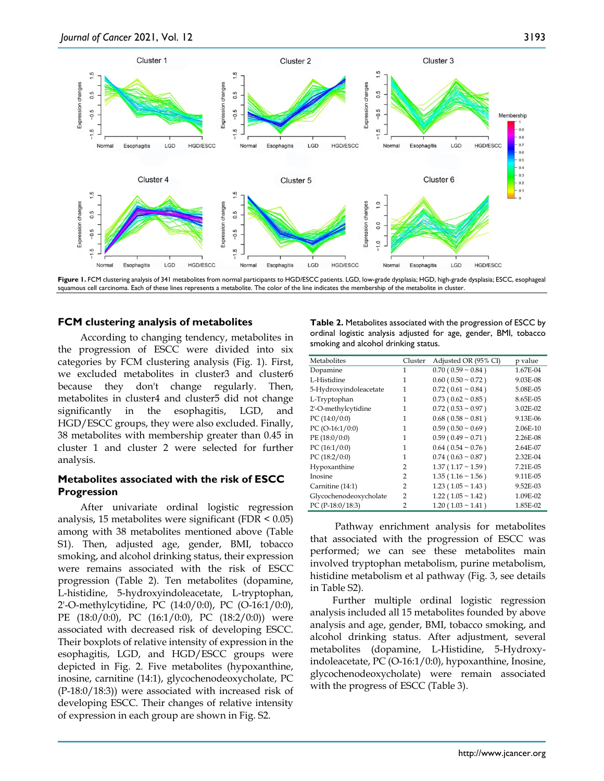

**Figure 1.** FCM clustering analysis of 341 metabolites from normal participants to HGD/ESCC patients. LGD, low-grade dysplasia; HGD, high-grade dysplasia; ESCC, esophageal squamous cell carcinoma. Each of these lines represents a metabolite. The color of the line indicates the membership of the metabolite in cluster.

### **FCM clustering analysis of metabolites**

According to changing tendency, metabolites in the progression of ESCC were divided into six categories by FCM clustering analysis (Fig. 1). First, we excluded metabolites in cluster3 and cluster6 because they don't change regularly. Then, metabolites in cluster4 and cluster5 did not change significantly in the esophagitis, LGD, and HGD/ESCC groups, they were also excluded. Finally, 38 metabolites with membership greater than 0.45 in cluster 1 and cluster 2 were selected for further analysis.

## **Metabolites associated with the risk of ESCC Progression**

After univariate ordinal logistic regression analysis, 15 metabolites were significant (FDR  $\leq$  0.05) among with 38 metabolites mentioned above (Table S1). Then, adjusted age, gender, BMI, tobacco smoking, and alcohol drinking status, their expression were remains associated with the risk of ESCC progression (Table 2). Ten metabolites (dopamine, L-histidine, 5-hydroxyindoleacetate, L-tryptophan, 2'-O-methylcytidine, PC (14:0/0:0), PC (O-16:1/0:0), PE (18:0/0:0), PC (16:1/0:0), PC (18:2/0:0)) were associated with decreased risk of developing ESCC. Their boxplots of relative intensity of expression in the esophagitis, LGD, and HGD/ESCC groups were depicted in Fig. 2. Five metabolites (hypoxanthine, inosine, carnitine (14:1), glycochenodeoxycholate, PC (P-18:0/18:3)) were associated with increased risk of developing ESCC. Their changes of relative intensity of expression in each group are shown in Fig. S2.

**Table 2.** Metabolites associated with the progression of ESCC by ordinal logistic analysis adjusted for age, gender, BMI, tobacco smoking and alcohol drinking status.

| Metabolites            | Cluster | Adjusted OR (95% CI)        | p value  |
|------------------------|---------|-----------------------------|----------|
| Dopamine               | 1       | $0.70(0.59 \sim 0.84)$      | 1.67E-04 |
| L-Histidine            | 1       | $0.60$ ( $0.50 \sim 0.72$ ) | 9.03E-08 |
| 5-Hydroxyindoleacetate | 1       | $0.72$ ( $0.61 \sim 0.84$ ) | 5.08E-05 |
| L-Tryptophan           | 1       | $0.73$ ( $0.62 \sim 0.85$ ) | 8.65E-05 |
| 2'-O-methylcytidine    | 1       | $0.72$ ( $0.53 \sim 0.97$ ) | 3.02E-02 |
| PC $(14:0/0:0)$        | 1       | $0.68$ ( $0.58 \sim 0.81$ ) | 9.13E-06 |
| PC $(O-16:1/0:0)$      | 1       | $0.59(0.50 \sim 0.69)$      | 2.06E-10 |
| PE(18:0/0:0)           | 1       | $0.59(0.49 \sim 0.71)$      | 2.26E-08 |
| PC $(16:1/0:0)$        | 1       | $0.64$ ( $0.54 \sim 0.76$ ) | 2.64E-07 |
| PC $(18:2/0:0)$        | 1       | $0.74$ ( $0.63 \sim 0.87$ ) | 2.32E-04 |
| Hypoxanthine           | 2       | $1.37(1.17 \sim 1.59)$      | 7.21E-05 |
| Inosine                | 2       | $1.35(1.16 \sim 1.56)$      | 9.11E-05 |
| Carnitine (14:1)       | 2       | $1.23(1.05 \sim 1.43)$      | 9.52E-03 |
| Glycochenodeoxycholate | 2       | $1.22(1.05 \sim 1.42)$      | 1.09E-02 |
| PC (P-18:0/18:3)       | 2       | $1.20(1.03 \sim 1.41)$      | 1.85E-02 |

Pathway enrichment analysis for metabolites that associated with the progression of ESCC was performed; we can see these metabolites main involved tryptophan metabolism, purine metabolism, histidine metabolism et al pathway (Fig. 3, see details in Table S2).

Further multiple ordinal logistic regression analysis included all 15 metabolites founded by above analysis and age, gender, BMI, tobacco smoking, and alcohol drinking status. After adjustment, several metabolites (dopamine, L-Histidine, 5-Hydroxyindoleacetate, PC (O-16:1/0:0), hypoxanthine, Inosine, glycochenodeoxycholate) were remain associated with the progress of ESCC (Table 3).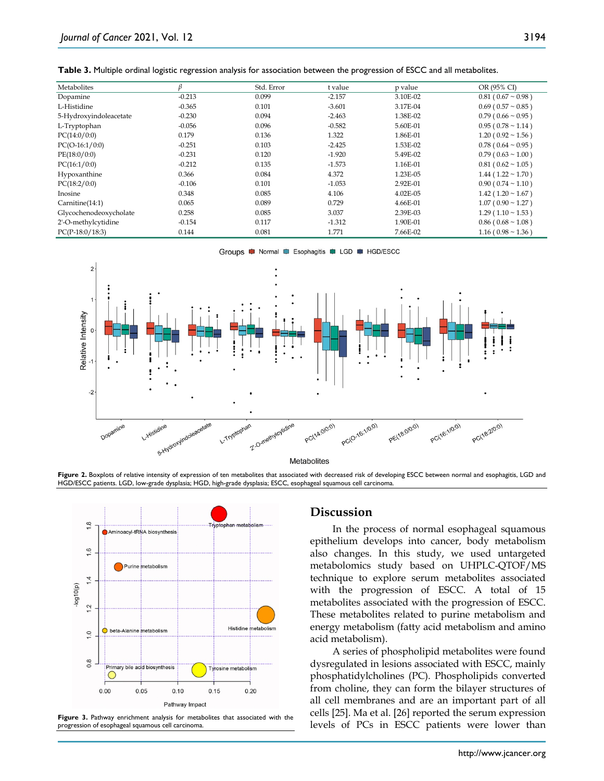|  |  |  |  |  | Table 3. Multiple ordinal logistic regression analysis for association between the progression of ESCC and all metabolites. |  |
|--|--|--|--|--|-----------------------------------------------------------------------------------------------------------------------------|--|
|--|--|--|--|--|-----------------------------------------------------------------------------------------------------------------------------|--|

| Metabolites            |          | Std. Error | t value  | p value  | OR (95% CI)                 |
|------------------------|----------|------------|----------|----------|-----------------------------|
| Dopamine               | $-0.213$ | 0.099      | $-2.157$ | 3.10E-02 | $0.81(0.67 \sim 0.98)$      |
| L-Histidine            | $-0.365$ | 0.101      | $-3.601$ | 3.17E-04 | $0.69$ ( $0.57 \sim 0.85$ ) |
| 5-Hydroxyindoleacetate | $-0.230$ | 0.094      | $-2.463$ | 1.38E-02 | $0.79(0.66 \sim 0.95)$      |
| L-Tryptophan           | $-0.056$ | 0.096      | $-0.582$ | 5.60E-01 | $0.95(0.78 \sim 1.14)$      |
| PC(14:0/0:0)           | 0.179    | 0.136      | 1.322    | 1.86E-01 | $1.20(0.92 \sim 1.56)$      |
| $PC(O-16:1/0:0)$       | $-0.251$ | 0.103      | $-2.425$ | 1.53E-02 | $0.78$ ( $0.64 \sim 0.95$ ) |
| PE(18:0/0:0)           | $-0.231$ | 0.120      | $-1.920$ | 5.49E-02 | $0.79(0.63 \sim 1.00)$      |
| PC(16:1/0:0)           | $-0.212$ | 0.135      | $-1.573$ | 1.16E-01 | $0.81(0.62 \sim 1.05)$      |
| Hypoxanthine           | 0.366    | 0.084      | 4.372    | 1.23E-05 | $1.44$ ( $1.22 \sim 1.70$ ) |
| PC(18:2/0:0)           | $-0.106$ | 0.101      | $-1.053$ | 2.92E-01 | $0.90(0.74 \sim 1.10)$      |
| Inosine                | 0.348    | 0.085      | 4.106    | 4.02E-05 | $1.42(1.20 \sim 1.67)$      |
| Carnitine(14:1)        | 0.065    | 0.089      | 0.729    | 4.66E-01 | $1.07(0.90 \sim 1.27)$      |
| Glycochenodeoxycholate | 0.258    | 0.085      | 3.037    | 2.39E-03 | $1.29(1.10 \sim 1.53)$      |
| 2'-O-methylcytidine    | $-0.154$ | 0.117      | $-1.312$ | 1.90E-01 | $0.86$ ( $0.68 \sim 1.08$ ) |
| $PC(P-18:0/18:3)$      | 0.144    | 0.081      | 1.771    | 7.66E-02 | $1.16(0.98 \sim 1.36)$      |









**Figure 3.** Pathway enrichment analysis for metabolites that associated with the progression of esophageal squamous cell carcinoma.

## **Discussion**

In the process of normal esophageal squamous epithelium develops into cancer, body metabolism also changes. In this study, we used untargeted metabolomics study based on UHPLC-QTOF/MS technique to explore serum metabolites associated with the progression of ESCC. A total of 15 metabolites associated with the progression of ESCC. These metabolites related to purine metabolism and energy metabolism (fatty acid metabolism and amino acid metabolism).

A series of phospholipid metabolites were found dysregulated in lesions associated with ESCC, mainly phosphatidylcholines (PC). Phospholipids converted from choline, they can form the bilayer structures of all cell membranes and are an important part of all cells [25]. Ma et al. [26] reported the serum expression levels of PCs in ESCC patients were lower than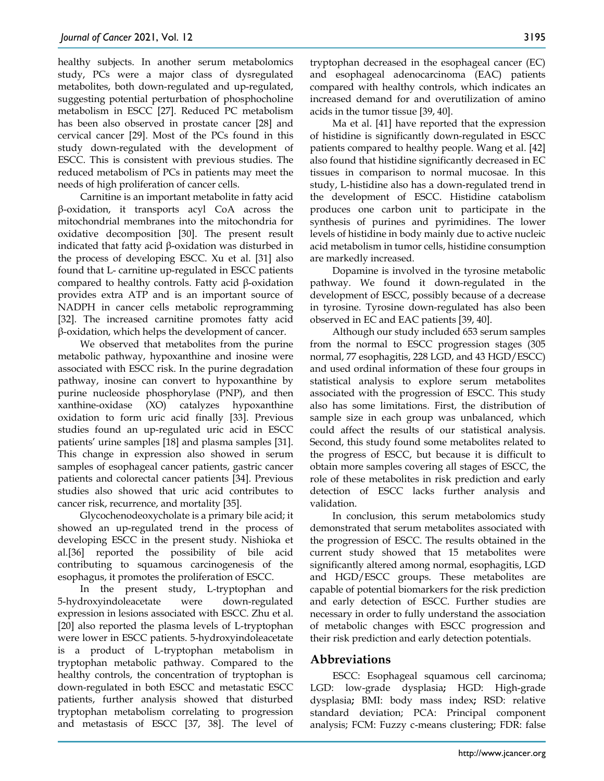healthy subjects. In another serum metabolomics study, PCs were a major class of dysregulated metabolites, both down-regulated and up-regulated, suggesting potential perturbation of phosphocholine metabolism in ESCC [27]. Reduced PC metabolism has been also observed in prostate cancer [28] and cervical cancer [29]. Most of the PCs found in this study down-regulated with the development of ESCC. This is consistent with previous studies. The reduced metabolism of PCs in patients may meet the needs of high proliferation of cancer cells.

Carnitine is an important metabolite in fatty acid β-oxidation, it transports acyl CoA across the mitochondrial membranes into the mitochondria for oxidative decomposition [30]. The present result indicated that fatty acid  $β$ -oxidation was disturbed in the process of developing ESCC. Xu et al. [31] also found that L- carnitine up-regulated in ESCC patients compared to healthy controls. Fatty acid β-oxidation provides extra ATP and is an important source of NADPH in cancer cells metabolic reprogramming [32]. The increased carnitine promotes fatty acid β-oxidation, which helps the development of cancer.

We observed that metabolites from the purine metabolic pathway, hypoxanthine and inosine were associated with ESCC risk. In the purine degradation pathway, inosine can convert to hypoxanthine by purine nucleoside phosphorylase (PNP), and then xanthine-oxidase (XO) catalyzes hypoxanthine oxidation to form uric acid finally [33]. Previous studies found an up-regulated uric acid in ESCC patients' urine samples [18] and plasma samples [31]. This change in expression also showed in serum samples of esophageal cancer patients, gastric cancer patients and colorectal cancer patients [34]. Previous studies also showed that uric acid contributes to cancer risk, recurrence, and mortality [35].

Glycochenodeoxycholate is a primary bile acid; it showed an up-regulated trend in the process of developing ESCC in the present study. Nishioka et al.[36] reported the possibility of bile acid contributing to squamous carcinogenesis of the esophagus, it promotes the proliferation of ESCC.

In the present study, L-tryptophan and 5-hydroxyindoleacetate were down-regulated expression in lesions associated with ESCC. Zhu et al. [20] also reported the plasma levels of L-tryptophan were lower in ESCC patients. 5-hydroxyindoleacetate is a product of L-tryptophan metabolism in tryptophan metabolic pathway. Compared to the healthy controls, the concentration of tryptophan is down-regulated in both ESCC and metastatic ESCC patients, further analysis showed that disturbed tryptophan metabolism correlating to progression and metastasis of ESCC [37, 38]. The level of

tryptophan decreased in the esophageal cancer (EC) and esophageal adenocarcinoma (EAC) patients compared with healthy controls, which indicates an increased demand for and overutilization of amino acids in the tumor tissue [39, 40].

Ma et al. [41] have reported that the expression of histidine is significantly down-regulated in ESCC patients compared to healthy people. Wang et al. [42] also found that histidine significantly decreased in EC tissues in comparison to normal mucosae. In this study, L-histidine also has a down-regulated trend in the development of ESCC. Histidine catabolism produces one carbon unit to participate in the synthesis of purines and pyrimidines. The lower levels of histidine in body mainly due to active nucleic acid metabolism in tumor cells, histidine consumption are markedly increased.

Dopamine is involved in the tyrosine metabolic pathway. We found it down-regulated in the development of ESCC, possibly because of a decrease in tyrosine. Tyrosine down-regulated has also been observed in EC and EAC patients [39, 40].

Although our study included 653 serum samples from the normal to ESCC progression stages (305 normal, 77 esophagitis, 228 LGD, and 43 HGD/ESCC) and used ordinal information of these four groups in statistical analysis to explore serum metabolites associated with the progression of ESCC. This study also has some limitations. First, the distribution of sample size in each group was unbalanced, which could affect the results of our statistical analysis. Second, this study found some metabolites related to the progress of ESCC, but because it is difficult to obtain more samples covering all stages of ESCC, the role of these metabolites in risk prediction and early detection of ESCC lacks further analysis and validation.

In conclusion, this serum metabolomics study demonstrated that serum metabolites associated with the progression of ESCC. The results obtained in the current study showed that 15 metabolites were significantly altered among normal, esophagitis, LGD and HGD/ESCC groups. These metabolites are capable of potential biomarkers for the risk prediction and early detection of ESCC. Further studies are necessary in order to fully understand the association of metabolic changes with ESCC progression and their risk prediction and early detection potentials.

## **Abbreviations**

ESCC: Esophageal squamous cell carcinoma; LGD: low-grade dysplasia**;** HGD: High-grade dysplasia**;** BMI: body mass index**;** RSD: relative standard deviation; PCA: Principal component analysis; FCM: Fuzzy c-means clustering; FDR: false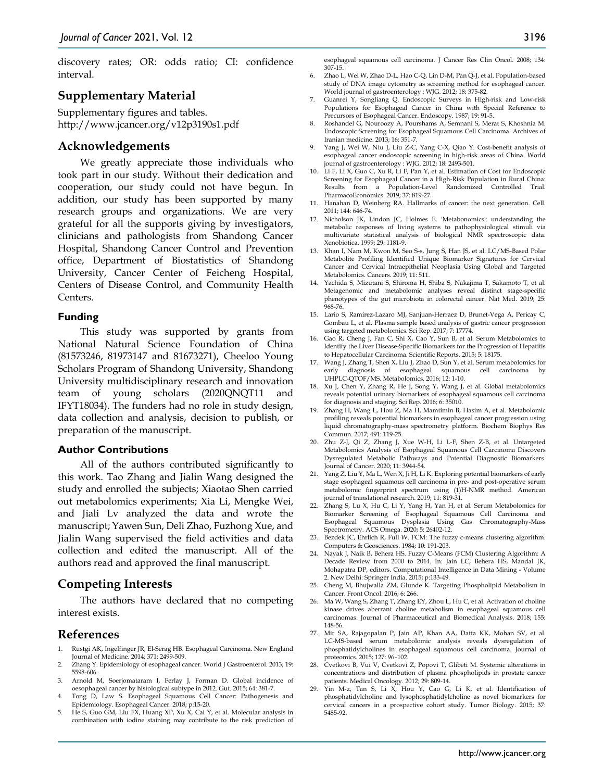discovery rates; OR: odds ratio; CI: confidence interval.

## **Supplementary Material**

Supplementary figures and tables. http://www.jcancer.org/v12p3190s1.pdf

#### **Acknowledgements**

We greatly appreciate those individuals who took part in our study. Without their dedication and cooperation, our study could not have begun. In addition, our study has been supported by many research groups and organizations. We are very grateful for all the supports giving by investigators, clinicians and pathologists from Shandong Cancer Hospital, Shandong Cancer Control and Prevention office, Department of Biostatistics of Shandong University, Cancer Center of Feicheng Hospital, Centers of Disease Control, and Community Health Centers.

#### **Funding**

This study was supported by grants from National Natural Science Foundation of China (81573246, 81973147 and 81673271), Cheeloo Young Scholars Program of Shandong University, Shandong University multidisciplinary research and innovation team of young scholars (2020QNQT11 and IFYT18034). The funders had no role in study design, data collection and analysis, decision to publish, or preparation of the manuscript.

#### **Author Contributions**

All of the authors contributed significantly to this work. Tao Zhang and Jialin Wang designed the study and enrolled the subjects; Xiaotao Shen carried out metabolomics experiments; Xia Li, Mengke Wei, and Jiali Lv analyzed the data and wrote the manuscript; Yawen Sun, Deli Zhao, Fuzhong Xue, and Jialin Wang supervised the field activities and data collection and edited the manuscript. All of the authors read and approved the final manuscript.

#### **Competing Interests**

The authors have declared that no competing interest exists.

#### **References**

- 1. Rustgi AK, Ingelfinger JR, El-Serag HB. Esophageal Carcinoma. New England Journal of Medicine. 2014; 371: 2499-509.
- 2. Zhang Y. Epidemiology of esophageal cancer. World J Gastroenterol. 2013; 19: 5598-606.
- 3. Arnold M, Soerjomataram I, Ferlay J, Forman D. Global incidence of oesophageal cancer by histological subtype in 2012. Gut. 2015; 64: 381-7.
- 4. Tong D, Law S. Esophageal Squamous Cell Cancer: Pathogenesis and Epidemiology. Esophageal Cancer. 2018; p:15-20.
- 5. He S, Guo GM, Liu FX, Huang XP, Xu X, Cai Y, et al. Molecular analysis in combination with iodine staining may contribute to the risk prediction of

esophageal squamous cell carcinoma. J Cancer Res Clin Oncol. 2008; 134: 307-15.

- 6. Zhao L, Wei W, Zhao D-L, Hao C-Q, Lin D-M, Pan Q-J, et al. Population-based study of DNA image cytometry as screening method for esophageal cancer. World journal of gastroenterology : WJG. 2012; 18: 375-82.
- 7. Guanrei Y, Songliang Q. Endoscopic Surveys in High-risk and Low-risk Populations for Esophageal Cancer in China with Special Reference to Precursors of Esophageal Cancer. Endoscopy. 1987; 19: 91-5.
- 8. Roshandel G, Nouroozy A, Pourshams A, Semnani S, Merat S, Khoshnia M. Endoscopic Screening for Esophageal Squamous Cell Carcinoma. Archives of Iranian medicine. 2013; 16: 351-7.
- 9. Yang J, Wei W, Niu J, Liu Z-C, Yang C-X, Qiao Y. Cost-benefit analysis of esophageal cancer endoscopic screening in high-risk areas of China. World journal of gastroenterology : WJG. 2012; 18: 2493-501.
- 10. Li F, Li X, Guo C, Xu R, Li F, Pan Y, et al. Estimation of Cost for Endoscopic Screening for Esophageal Cancer in a High-Risk Population in Rural China:<br>Results from a Population-Level Randomized Controlled Trial. from a Population-Level PharmacoEconomics. 2019; 37: 819-27.
- 11. Hanahan D, Weinberg RA. Hallmarks of cancer: the next generation. Cell. 2011; 144: 646-74.
- 12. Nicholson JK, Lindon JC, Holmes E. 'Metabonomics': understanding the metabolic responses of living systems to pathophysiological stimuli via multivariate statistical analysis of biological NMR spectroscopic data. Xenobiotica. 1999; 29: 1181-9.
- 13. Khan I, Nam M, Kwon M, Seo S-s, Jung S, Han JS, et al. LC/MS-Based Polar Metabolite Profiling Identified Unique Biomarker Signatures for Cervical Cancer and Cervical Intraepithelial Neoplasia Using Global and Targeted Metabolomics. Cancers. 2019; 11: 511.
- 14. Yachida S, Mizutani S, Shiroma H, Shiba S, Nakajima T, Sakamoto T, et al. Metagenomic and metabolomic analyses reveal distinct stage-specific phenotypes of the gut microbiota in colorectal cancer. Nat Med. 2019; 25: 968-76.
- 15. Lario S, Ramirez-Lazaro MJ, Sanjuan-Herraez D, Brunet-Vega A, Pericay C, Gombau L, et al. Plasma sample based analysis of gastric cancer progression using targeted metabolomics. Sci Rep. 2017; 7: 17774.
- 16. Gao R, Cheng J, Fan C, Shi X, Cao Y, Sun B, et al. Serum Metabolomics to Identify the Liver Disease-Specific Biomarkers for the Progression of Hepatitis to Hepatocellular Carcinoma. Scientific Reports. 2015; 5: 18175.
- 17. Wang J, Zhang T, Shen X, Liu J, Zhao D, Sun Y, et al. Serum metabolomics for early diagnosis of esophageal squamous cell carcinoma by UHPLC-QTOF/MS. Metabolomics. 2016; 12: 1-10.
- 18. Xu J, Chen Y, Zhang R, He J, Song Y, Wang J, et al. Global metabolomics reveals potential urinary biomarkers of esophageal squamous cell carcinoma for diagnosis and staging. Sci Rep. 2016; 6: 35010.
- 19. Zhang H, Wang L, Hou Z, Ma H, Mamtimin B, Hasim A, et al. Metabolomic profiling reveals potential biomarkers in esophageal cancer progression using liquid chromatography-mass spectrometry platform. Biochem Biophys Res Commun. 2017; 491: 119-25.
- 20. Zhu Z-J, Qi Z, Zhang J, Xue W-H, Li L-F, Shen Z-B, et al. Untargeted Metabolomics Analysis of Esophageal Squamous Cell Carcinoma Discovers Dysregulated Metabolic Pathways and Potential Diagnostic Biomarkers. Journal of Cancer. 2020; 11: 3944-54.
- 21. Yang Z, Liu Y, Ma L, Wen X, Ji H, Li K. Exploring potential biomarkers of early stage esophageal squamous cell carcinoma in pre- and post-operative serum metabolomic fingerprint spectrum using (1)H-NMR method. American journal of translational research. 2019; 11: 819-31.
- 22. Zhang S, Lu X, Hu C, Li Y, Yang H, Yan H, et al. Serum Metabolomics for Biomarker Screening of Esophageal Squamous Cell Carcinoma and Esophageal Squamous Dysplasia Using Gas Chromatography-Mass Spectrometry. ACS Omega. 2020; 5: 26402-12.
- 23. Bezdek JC, Ehrlich R, Full W. FCM: The fuzzy c-means clustering algorithm. Computers & Geosciences. 1984; 10: 191-203.
- 24. Nayak J, Naik B, Behera HS. Fuzzy C-Means (FCM) Clustering Algorithm: A Decade Review from 2000 to 2014. In: Jain LC, Behera HS, Mandal JK, Mohapatra DP, editors. Computational Intelligence in Data Mining - Volume 2. New Delhi: Springer India. 2015; p:133-49.
- 25. Cheng M, Bhujwalla ZM, Glunde K. Targeting Phospholipid Metabolism in Cancer. Front Oncol. 2016; 6: 266.
- 26. Ma W, Wang S, Zhang T, Zhang EY, Zhou L, Hu C, et al. Activation of choline kinase drives aberrant choline metabolism in esophageal squamous cell carcinomas. Journal of Pharmaceutical and Biomedical Analysis. 2018; 155: 148-56.
- 27. Mir SA, Rajagopalan P, Jain AP, Khan AA, Datta KK, Mohan SV, et al. LC-MS-based serum metabolomic analysis reveals dysregulation of phosphatidylcholines in esophageal squamous cell carcinoma. Journal of proteomics. 2015; 127: 96–102.
- 28. Cvetkovi B, Vui V, Cvetkovi Z, Popovi T, Glibeti M. Systemic alterations in concentrations and distribution of plasma phospholipids in prostate cancer patients. Medical Oncology. 2012; 29: 809-14.
- 29. Yin M-z, Tan S, Li X, Hou Y, Cao G, Li K, et al. Identification of phosphatidylcholine and lysophosphatidylcholine as novel biomarkers for cervical cancers in a prospective cohort study. Tumor Biology. 2015; 37: 5485-92.